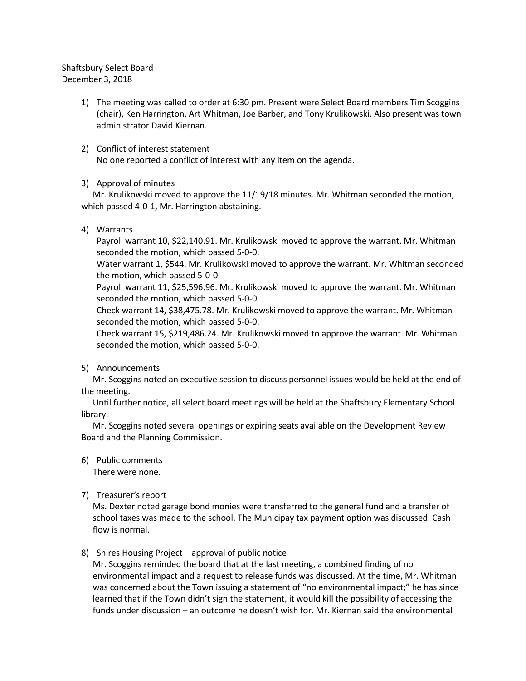## Shaftsbury Select Board December 3, 2018

- 1) The meeting was called to order at 6:30 pm. Present were Select Board members Tim Scoggins (chair), Ken Harrington, Art Whitman, Joe Barber, and Tony Krulikowski. Also present was town administrator David Kiernan.
- 2) Conflict of interest statement No one reported a conflict of interest with any item on the agenda.
- 3) Approval of minutes

Mr. Krulikowski moved to approve the 11/19/18 minutes. Mr. Whitman seconded the motion, which passed 4-0-1, Mr. Harrington abstaining.

4) Warrants

Payroll warrant 10, \$22,140.91. Mr. Krulikowski moved to approve the warrant. Mr. Whitman seconded the motion, which passed 5-0-0.

Water warrant 1, \$544. Mr. Krulikowski moved to approve the warrant. Mr. Whitman seconded the motion, which passed 5-0-0.

Payroll warrant 11, \$25,596.96. Mr. Krulikowski moved to approve the warrant. Mr. Whitman seconded the motion, which passed 5-0-0.

Check warrant 14, \$38,475.78. Mr. Krulikowski moved to approve the warrant. Mr. Whitman seconded the motion, which passed 5-0-0.

Check warrant 15, \$219,486.24. Mr. Krulikowski moved to approve the warrant. Mr. Whitman seconded the motion, which passed 5-0-0.

5) Announcements

Mr. Scoggins noted an executive session to discuss personnel issues would be held at the end of the meeting.

Until further notice, all select board meetings will be held at the Shaftsbury Elementary School library.

Mr. Scoggins noted several openings or expiring seats available on the Development Review Board and the Planning Commission.

6) Public comments

There were none.

7) Treasurer's report

Ms. Dexter noted garage bond monies were transferred to the general fund and a transfer of school taxes was made to the school. The Municipay tax payment option was discussed. Cash flow is normal.

### 8) Shires Housing Project – approval of public notice

Mr. Scoggins reminded the board that at the last meeting, a combined finding of no environmental impact and a request to release funds was discussed. At the time, Mr. Whitman was concerned about the Town issuing a statement of "no environmental impact;" he has since learned that if the Town didn't sign the statement, it would kill the possibility of accessing the funds under discussion – an outcome he doesn't wish for. Mr. Kiernan said the environmental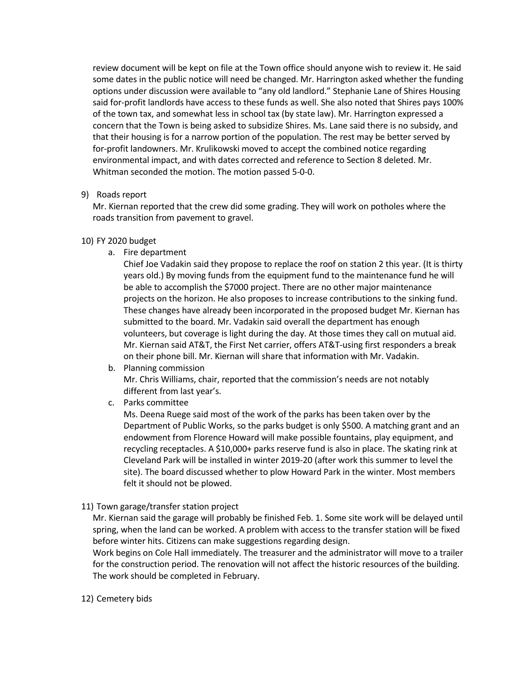review document will be kept on file at the Town office should anyone wish to review it. He said some dates in the public notice will need be changed. Mr. Harrington asked whether the funding options under discussion were available to "any old landlord." Stephanie Lane of Shires Housing said for-profit landlords have access to these funds as well. She also noted that Shires pays 100% of the town tax, and somewhat less in school tax (by state law). Mr. Harrington expressed a concern that the Town is being asked to subsidize Shires. Ms. Lane said there is no subsidy, and that their housing is for a narrow portion of the population. The rest may be better served by for-profit landowners. Mr. Krulikowski moved to accept the combined notice regarding environmental impact, and with dates corrected and reference to Section 8 deleted. Mr. Whitman seconded the motion. The motion passed 5-0-0.

### 9) Roads report

Mr. Kiernan reported that the crew did some grading. They will work on potholes where the roads transition from pavement to gravel.

### 10) FY 2020 budget

a. Fire department

Chief Joe Vadakin said they propose to replace the roof on station 2 this year. (It is thirty years old.) By moving funds from the equipment fund to the maintenance fund he will be able to accomplish the \$7000 project. There are no other major maintenance projects on the horizon. He also proposes to increase contributions to the sinking fund. These changes have already been incorporated in the proposed budget Mr. Kiernan has submitted to the board. Mr. Vadakin said overall the department has enough volunteers, but coverage is light during the day. At those times they call on mutual aid. Mr. Kiernan said AT&T, the First Net carrier, offers AT&T-using first responders a break on their phone bill. Mr. Kiernan will share that information with Mr. Vadakin.

### b. Planning commission

Mr. Chris Williams, chair, reported that the commission's needs are not notably different from last year's.

c. Parks committee

Ms. Deena Ruege said most of the work of the parks has been taken over by the Department of Public Works, so the parks budget is only \$500. A matching grant and an endowment from Florence Howard will make possible fountains, play equipment, and recycling receptacles. A \$10,000+ parks reserve fund is also in place. The skating rink at Cleveland Park will be installed in winter 2019-20 (after work this summer to level the site). The board discussed whether to plow Howard Park in the winter. Most members felt it should not be plowed.

# 11) Town garage/transfer station project

Mr. Kiernan said the garage will probably be finished Feb. 1. Some site work will be delayed until spring, when the land can be worked. A problem with access to the transfer station will be fixed before winter hits. Citizens can make suggestions regarding design.

Work begins on Cole Hall immediately. The treasurer and the administrator will move to a trailer for the construction period. The renovation will not affect the historic resources of the building. The work should be completed in February.

### 12) Cemetery bids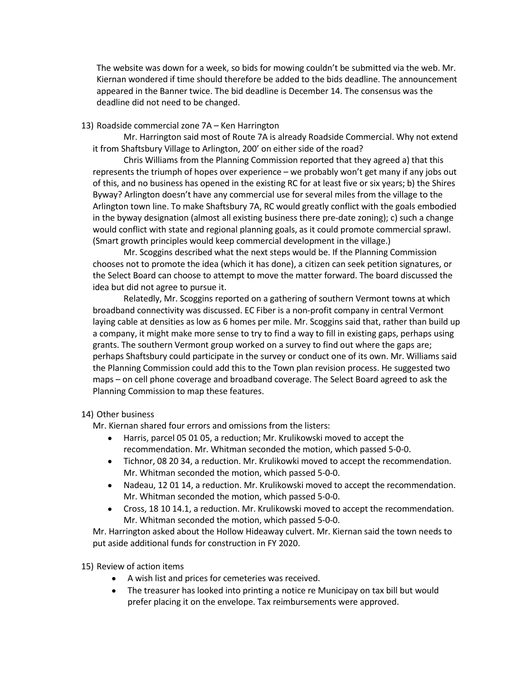The website was down for a week, so bids for mowing couldn't be submitted via the web. Mr. Kiernan wondered if time should therefore be added to the bids deadline. The announcement appeared in the Banner twice. The bid deadline is December 14. The consensus was the deadline did not need to be changed.

#### 13) Roadside commercial zone 7A – Ken Harrington

Mr. Harrington said most of Route 7A is already Roadside Commercial. Why not extend it from Shaftsbury Village to Arlington, 200' on either side of the road?

Chris Williams from the Planning Commission reported that they agreed a) that this represents the triumph of hopes over experience – we probably won't get many if any jobs out of this, and no business has opened in the existing RC for at least five or six years; b) the Shires Byway? Arlington doesn't have any commercial use for several miles from the village to the Arlington town line. To make Shaftsbury 7A, RC would greatly conflict with the goals embodied in the byway designation (almost all existing business there pre-date zoning); c) such a change would conflict with state and regional planning goals, as it could promote commercial sprawl. (Smart growth principles would keep commercial development in the village.)

Mr. Scoggins described what the next steps would be. If the Planning Commission chooses not to promote the idea (which it has done), a citizen can seek petition signatures, or the Select Board can choose to attempt to move the matter forward. The board discussed the idea but did not agree to pursue it.

Relatedly, Mr. Scoggins reported on a gathering of southern Vermont towns at which broadband connectivity was discussed. EC Fiber is a non-profit company in central Vermont laying cable at densities as low as 6 homes per mile. Mr. Scoggins said that, rather than build up a company, it might make more sense to try to find a way to fill in existing gaps, perhaps using grants. The southern Vermont group worked on a survey to find out where the gaps are; perhaps Shaftsbury could participate in the survey or conduct one of its own. Mr. Williams said the Planning Commission could add this to the Town plan revision process. He suggested two maps – on cell phone coverage and broadband coverage. The Select Board agreed to ask the Planning Commission to map these features.

### 14) Other business

Mr. Kiernan shared four errors and omissions from the listers:

- Harris, parcel 05 01 05, a reduction; Mr. Krulikowski moved to accept the recommendation. Mr. Whitman seconded the motion, which passed 5-0-0.
- Tichnor, 08 20 34, a reduction. Mr. Krulikowki moved to accept the recommendation. Mr. Whitman seconded the motion, which passed 5-0-0.
- Nadeau, 12 01 14, a reduction. Mr. Krulikowski moved to accept the recommendation. Mr. Whitman seconded the motion, which passed 5-0-0.
- Cross, 18 10 14.1, a reduction. Mr. Krulikowski moved to accept the recommendation. Mr. Whitman seconded the motion, which passed 5-0-0.

Mr. Harrington asked about the Hollow Hideaway culvert. Mr. Kiernan said the town needs to put aside additional funds for construction in FY 2020.

### 15) Review of action items

- A wish list and prices for cemeteries was received.
- The treasurer has looked into printing a notice re Municipay on tax bill but would prefer placing it on the envelope. Tax reimbursements were approved.